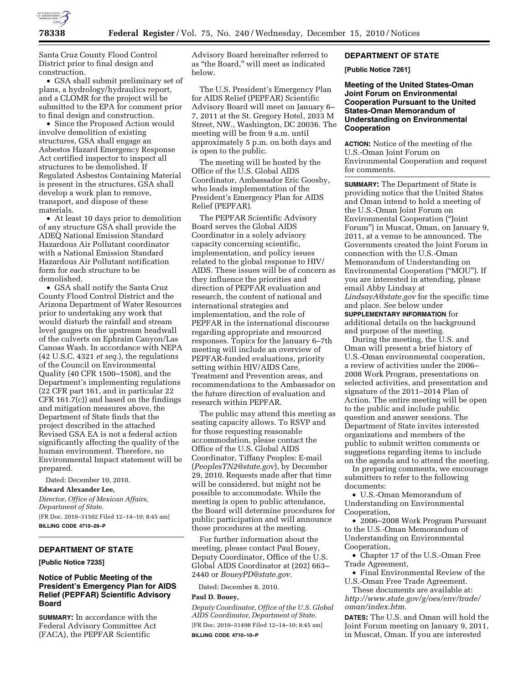

Santa Cruz County Flood Control District prior to final design and construction.

• GSA shall submit preliminary set of plans, a hydrology/hydraulics report, and a CLOMR for the project will be submitted to the EPA for comment prior to final design and construction.

• Since the Proposed Action would involve demolition of existing structures, GSA shall engage an Asbestos Hazard Emergency Response Act certified inspector to inspect all structures to be demolished. If Regulated Asbestos Containing Material is present in the structures, GSA shall develop a work plan to remove, transport, and dispose of these materials.

• At least 10 days prior to demolition of any structure GSA shall provide the ADEQ National Emission Standard Hazardous Air Pollutant coordinator with a National Emission Standard Hazardous Air Pollutant notification form for each structure to be demolished.

• GSA shall notify the Santa Cruz County Flood Control District and the Arizona Department of Water Resources prior to undertaking any work that would disturb the rainfall and stream level gauges on the upstream headwall of the culverts on Ephraim Canyon/Las Canoas Wash. In accordance with NEPA (42 U.S.C. 4321 *et seq.*), the regulations of the Council on Environmental Quality (40 CFR 1500–1508), and the Department's implementing regulations (22 CFR part 161, and in particular 22 CFR 161.7(c)) and based on the findings and mitigation measures above, the Department of State finds that the project described in the attached Revised GSA EA is not a federal action significantly affecting the quality of the human environment. Therefore, no Environmental Impact statement will be prepared.

Dated: December 10, 2010.

**Edward Alexander Lee,** 

*Director, Office of Mexican Affairs, Department of State.*  [FR Doc. 2010–31502 Filed 12–14–10; 8:45 am] **BILLING CODE 4710–29–P** 

# **DEPARTMENT OF STATE**

**[Public Notice 7235]** 

# **Notice of Public Meeting of the President's Emergency Plan for AIDS Relief (PEPFAR) Scientific Advisory Board**

**SUMMARY:** In accordance with the Federal Advisory Committee Act (FACA), the PEPFAR Scientific

Advisory Board hereinafter referred to as ''the Board,'' will meet as indicated below.

The U.S. President's Emergency Plan for AIDS Relief (PEPFAR) Scientific Advisory Board will meet on January 6– 7, 2011 at the St. Gregory Hotel, 2033 M Street, NW., Washington, DC 20036. The meeting will be from 9 a.m. until approximately 5 p.m. on both days and is open to the public.

The meeting will be hosted by the Office of the U.S. Global AIDS Coordinator, Ambassador Eric Goosby, who leads implementation of the President's Emergency Plan for AIDS Relief (PEPFAR).

The PEPFAR Scientific Advisory Board serves the Global AIDS Coordinator in a solely advisory capacity concerning scientific, implementation, and policy issues related to the global response to HIV/ AIDS. These issues will be of concern as they influence the priorities and direction of PEPFAR evaluation and research, the content of national and international strategies and implementation, and the role of PEPFAR in the international discourse regarding appropriate and resourced responses. Topics for the January 6–7th meeting will include an overview of PEPFAR-funded evaluations, priority setting within HIV/AIDS Care, Treatment and Prevention areas, and recommendations to the Ambassador on the future direction of evaluation and research within PEPFAR.

The public may attend this meeting as seating capacity allows. To RSVP and for those requesting reasonable accommodation, please contact the Office of the U.S. Global AIDS Coordinator, Tiffany Peoples: E-mail (*[PeoplesTN2@state.gov](mailto:PeoplesTN2@state.gov)*), by December 29, 2010. Requests made after that time will be considered, but might not be possible to accommodate. While the meeting is open to public attendance, the Board will determine procedures for public participation and will announce those procedures at the meeting.

For further information about the meeting, please contact Paul Bouey, Deputy Coordinator, Office of the U.S. Global AIDS Coordinator at (202) 663– 2440 or *[BoueyPD@state.gov.](mailto:BoueyPD@state.gov)* 

Dated: December 8, 2010.

## **Paul D. Bouey,**

*Deputy Coordinator, Office of the U.S. Global AIDS Coordinator, Department of State.*  [FR Doc. 2010–31498 Filed 12–14–10; 8:45 am] **BILLING CODE 4710–10–P** 

### **DEPARTMENT OF STATE**

**[Public Notice 7261]** 

**Meeting of the United States-Oman Joint Forum on Environmental Cooperation Pursuant to the United States-Oman Memorandum of Understanding on Environmental Cooperation** 

**ACTION:** Notice of the meeting of the U.S.-Oman Joint Forum on Environmental Cooperation and request for comments.

**SUMMARY:** The Department of State is providing notice that the United States and Oman intend to hold a meeting of the U.S.-Oman Joint Forum on Environmental Cooperation (''Joint Forum'') in Muscat, Oman, on January 9, 2011, at a venue to be announced. The Governments created the Joint Forum in connection with the U.S.-Oman Memorandum of Understanding on Environmental Cooperation (''MOU''). If you are interested in attending, please email Abby Lindsay at *[LindsayA@state.gov](mailto:LindsayA@state.gov)* for the specific time and place. *See* below under **SUPPLEMENTARY INFORMATION** for additional details on the background and purpose of the meeting.

During the meeting, the U.S. and Oman will present a brief history of U.S.-Oman environmental cooperation, a review of activities under the 2006– 2008 Work Program, presentations on selected activities, and presentation and signature of the 2011–2014 Plan of Action. The entire meeting will be open to the public and include public question and answer sessions. The Department of State invites interested organizations and members of the public to submit written comments or suggestions regarding items to include on the agenda and to attend the meeting.

In preparing comments, we encourage submitters to refer to the following documents:

• U.S.-Oman Memorandum of Understanding on Environmental Cooperation,

• 2006–2008 Work Program Pursuant to the U.S.-Oman Memorandum of Understanding on Environmental Cooperation,

• Chapter 17 of the U.S.-Oman Free Trade Agreement,

• Final Environmental Review of the U.S.-Oman Free Trade Agreement.

These documents are available at: *[http://www.state.gov/g/oes/env/trade/](http://www.state.gov/g/oes/env/trade/oman/index.htm) [oman/index.htm.](http://www.state.gov/g/oes/env/trade/oman/index.htm)* 

**DATES:** The U.S. and Oman will hold the Joint Forum meeting on January 9, 2011, in Muscat, Oman. If you are interested